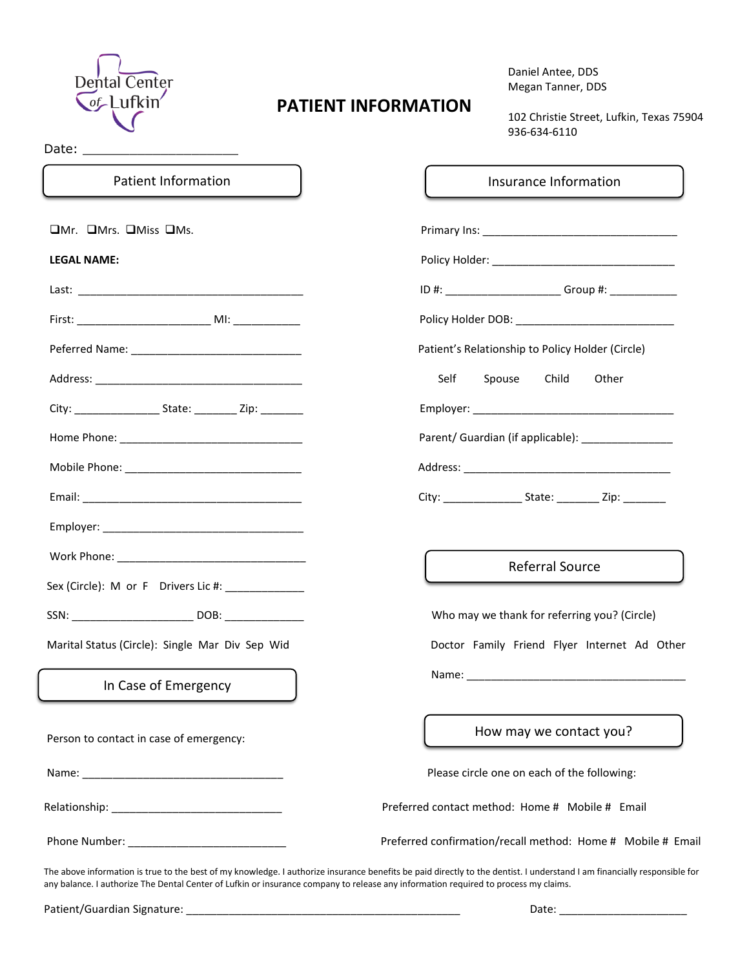

Date: \_\_\_\_\_\_\_\_\_\_\_\_\_\_\_\_\_\_\_\_

# **PATIENT INFORMATION**

 Daniel Antee, DDS Megan Tanner, DDS

 102 Christie Street, Lufkin, Texas 75904 936-634-6110

| <b>Patient Information</b>                       | Insurance Information                                       |  |  |  |
|--------------------------------------------------|-------------------------------------------------------------|--|--|--|
| OMr. OMrs. OMiss OMs.                            |                                                             |  |  |  |
| <b>LEGAL NAME:</b>                               |                                                             |  |  |  |
|                                                  | ID #: __________________________Group #: _____________      |  |  |  |
|                                                  | Policy Holder DOB: _______________________________          |  |  |  |
|                                                  | Patient's Relationship to Policy Holder (Circle)            |  |  |  |
|                                                  | Spouse<br>Child<br>Self<br>Other                            |  |  |  |
|                                                  |                                                             |  |  |  |
|                                                  | Parent/ Guardian (if applicable): ______________            |  |  |  |
|                                                  |                                                             |  |  |  |
|                                                  |                                                             |  |  |  |
|                                                  |                                                             |  |  |  |
| Work Phone: North Phone 2014                     | <b>Referral Source</b>                                      |  |  |  |
| Sex (Circle): M or F Drivers Lic #: ____________ |                                                             |  |  |  |
|                                                  | Who may we thank for referring you? (Circle)                |  |  |  |
| Marital Status (Circle): Single Mar Div Sep Wid  | Doctor Family Friend Flyer Internet Ad Other                |  |  |  |
| In Case of Emergency                             |                                                             |  |  |  |
| Person to contact in case of emergency:          | How may we contact you?                                     |  |  |  |
|                                                  | Please circle one on each of the following:                 |  |  |  |
|                                                  | Preferred contact method: Home # Mobile # Email             |  |  |  |
|                                                  | Preferred confirmation/recall method: Home # Mobile # Email |  |  |  |

The above information is true to the best of my knowledge. I authorize insurance benefits be paid directly to the dentist. I understand I am financially responsible for any balance. I authorize The Dental Center of Lufkin or insurance company to release any information required to process my claims.

Patient/Guardian Signature: \_\_\_\_\_\_\_\_\_\_\_\_\_\_\_\_\_\_\_\_\_\_\_\_\_\_\_\_\_\_\_\_\_\_\_\_\_\_\_\_\_\_\_\_\_ Date: \_\_\_\_\_\_\_\_\_\_\_\_\_\_\_\_\_\_\_\_\_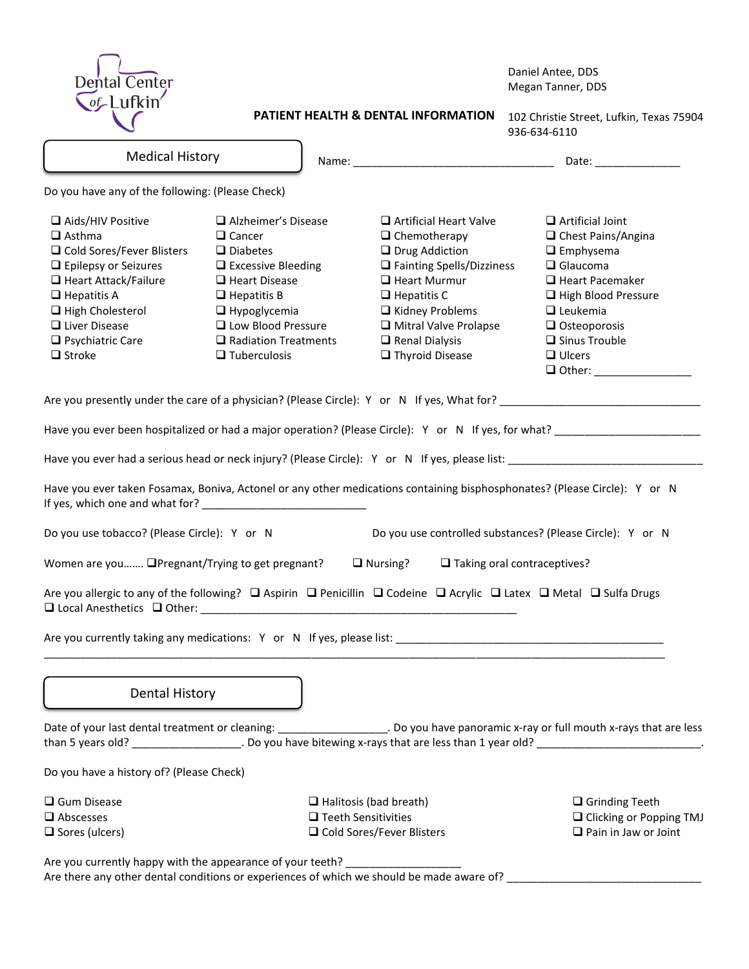| <b>Dental Center</b>                                                                                                                                                                                                                            |                                                                                                                                                                                                                                                |                                     |                                                                                                                                                                                                                                                                             |                                                          | Daniel Antee, DDS<br>Megan Tanner, DDS                                                                                                                                                                                                         |
|-------------------------------------------------------------------------------------------------------------------------------------------------------------------------------------------------------------------------------------------------|------------------------------------------------------------------------------------------------------------------------------------------------------------------------------------------------------------------------------------------------|-------------------------------------|-----------------------------------------------------------------------------------------------------------------------------------------------------------------------------------------------------------------------------------------------------------------------------|----------------------------------------------------------|------------------------------------------------------------------------------------------------------------------------------------------------------------------------------------------------------------------------------------------------|
| $\sigma$ -Lufkin                                                                                                                                                                                                                                |                                                                                                                                                                                                                                                | PATIENT HEALTH & DENTAL INFORMATION |                                                                                                                                                                                                                                                                             | 102 Christie Street, Lufkin, Texas 75904<br>936-634-6110 |                                                                                                                                                                                                                                                |
| <b>Medical History</b>                                                                                                                                                                                                                          |                                                                                                                                                                                                                                                |                                     |                                                                                                                                                                                                                                                                             |                                                          |                                                                                                                                                                                                                                                |
| Do you have any of the following: (Please Check)                                                                                                                                                                                                |                                                                                                                                                                                                                                                |                                     |                                                                                                                                                                                                                                                                             |                                                          |                                                                                                                                                                                                                                                |
| Aids/HIV Positive<br>$\Box$ Asthma<br>□ Cold Sores/Fever Blisters<br>$\Box$ Epilepsy or Seizures<br>□ Heart Attack/Failure<br>$\Box$ Hepatitis A<br>$\Box$ High Cholesterol<br>$\Box$ Liver Disease<br>$\Box$ Psychiatric Care<br>$\Box$ Stroke | $\Box$ Alzheimer's Disease<br>$\Box$ Cancer<br>$\Box$ Diabetes<br>$\Box$ Excessive Bleeding<br>$\Box$ Heart Disease<br>$\Box$ Hepatitis B<br>$\Box$ Hypoglycemia<br>□ Low Blood Pressure<br>$\Box$ Radiation Treatments<br>$\Box$ Tuberculosis |                                     | $\Box$ Artificial Heart Valve<br>$\Box$ Chemotherapy<br>$\Box$ Drug Addiction<br>$\Box$ Fainting Spells/Dizziness<br>$\Box$ Heart Murmur<br>$\Box$ Hepatitis C<br>$\Box$ Kidney Problems<br>$\Box$ Mitral Valve Prolapse<br>$\Box$ Renal Dialysis<br>$\Box$ Thyroid Disease |                                                          | $\Box$ Artificial Joint<br>□ Chest Pains/Angina<br>$\Box$ Emphysema<br>$\Box$ Glaucoma<br>$\Box$ Heart Pacemaker<br>High Blood Pressure<br>$\Box$ Leukemia<br>$\Box$ Osteoporosis<br>$\square$ Sinus Trouble<br>$\Box$ Ulcers<br>$\Box$ Other: |
|                                                                                                                                                                                                                                                 |                                                                                                                                                                                                                                                |                                     |                                                                                                                                                                                                                                                                             |                                                          |                                                                                                                                                                                                                                                |
|                                                                                                                                                                                                                                                 |                                                                                                                                                                                                                                                |                                     |                                                                                                                                                                                                                                                                             |                                                          |                                                                                                                                                                                                                                                |
|                                                                                                                                                                                                                                                 |                                                                                                                                                                                                                                                |                                     |                                                                                                                                                                                                                                                                             |                                                          |                                                                                                                                                                                                                                                |
| Have you ever taken Fosamax, Boniva, Actonel or any other medications containing bisphosphonates? (Please Circle): Y or N                                                                                                                       |                                                                                                                                                                                                                                                |                                     |                                                                                                                                                                                                                                                                             |                                                          |                                                                                                                                                                                                                                                |
| Do you use tobacco? (Please Circle): Y or N                                                                                                                                                                                                     |                                                                                                                                                                                                                                                |                                     | Do you use controlled substances? (Please Circle): Y or N                                                                                                                                                                                                                   |                                                          |                                                                                                                                                                                                                                                |
| Women are you <b>QPregnant/Trying to get pregnant?</b>                                                                                                                                                                                          |                                                                                                                                                                                                                                                |                                     | $\Box$ Nursing?<br>$\Box$ Taking oral contraceptives?                                                                                                                                                                                                                       |                                                          |                                                                                                                                                                                                                                                |
| Are you allergic to any of the following?  □ Aspirin  □ Penicillin □ Codeine □ Acrylic □ Latex □ Metal □ Sulfa Drugs                                                                                                                            |                                                                                                                                                                                                                                                |                                     |                                                                                                                                                                                                                                                                             |                                                          |                                                                                                                                                                                                                                                |
|                                                                                                                                                                                                                                                 |                                                                                                                                                                                                                                                |                                     |                                                                                                                                                                                                                                                                             |                                                          |                                                                                                                                                                                                                                                |
| <b>Dental History</b>                                                                                                                                                                                                                           |                                                                                                                                                                                                                                                |                                     |                                                                                                                                                                                                                                                                             |                                                          |                                                                                                                                                                                                                                                |
| Date of your last dental treatment or cleaning: _____________________. Do you have panoramic x-ray or full mouth x-rays that are less                                                                                                           |                                                                                                                                                                                                                                                |                                     |                                                                                                                                                                                                                                                                             |                                                          |                                                                                                                                                                                                                                                |
| Do you have a history of? (Please Check)                                                                                                                                                                                                        |                                                                                                                                                                                                                                                |                                     |                                                                                                                                                                                                                                                                             |                                                          |                                                                                                                                                                                                                                                |
| Gum Disease<br>$\Box$ Abscesses<br>$\Box$ Sores (ulcers)                                                                                                                                                                                        | $\Box$ Halitosis (bad breath)<br>$\Box$ Teeth Sensitivities<br>□ Cold Sores/Fever Blisters                                                                                                                                                     |                                     |                                                                                                                                                                                                                                                                             |                                                          | $\Box$ Grinding Teeth<br>□ Clicking or Popping TMJ<br>$\Box$ Pain in Jaw or Joint                                                                                                                                                              |
| Are you currently happy with the appearance of your teeth? _____________________<br>Are there any other dental conditions or experiences of which we should be made aware of?                                                                   |                                                                                                                                                                                                                                                |                                     |                                                                                                                                                                                                                                                                             |                                                          |                                                                                                                                                                                                                                                |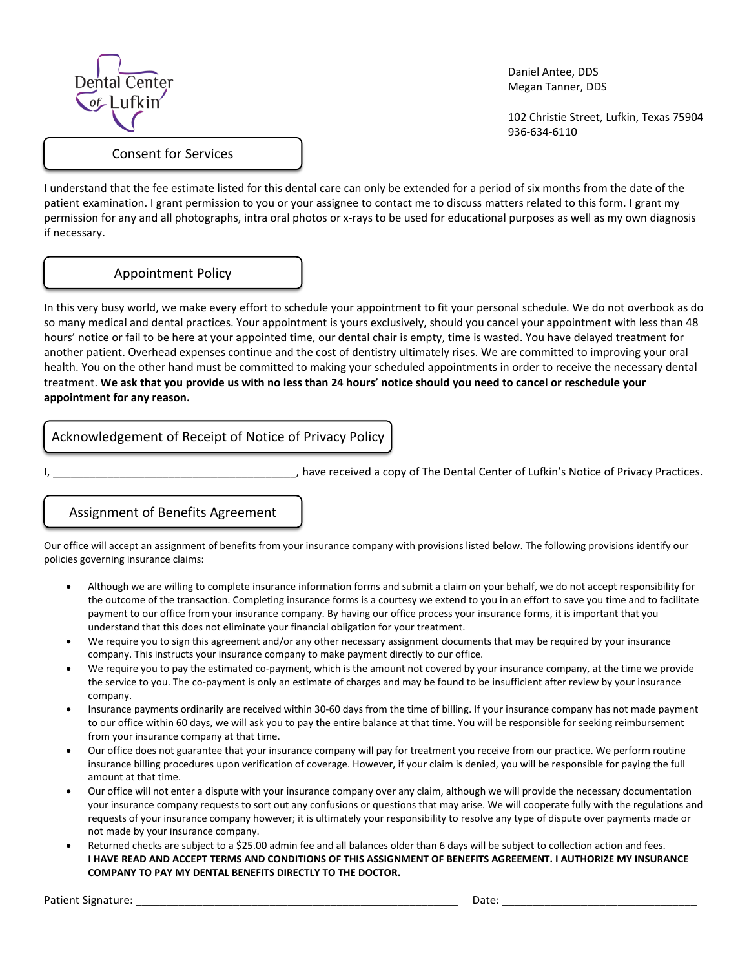

 Daniel Antee, DDS Megan Tanner, DDS

 102 Christie Street, Lufkin, Texas 75904 936-634-6110

I understand that the fee estimate listed for this dental care can only be extended for a period of six months from the date of the patient examination. I grant permission to you or your assignee to contact me to discuss matters related to this form. I grant my permission for any and all photographs, intra oral photos or x-rays to be used for educational purposes as well as my own diagnosis if necessary.

### Appointment Policy

ſ

In this very busy world, we make every effort to schedule your appointment to fit your personal schedule. We do not overbook as do so many medical and dental practices. Your appointment is yours exclusively, should you cancel your appointment with less than 48 hours' notice or fail to be here at your appointed time, our dental chair is empty, time is wasted. You have delayed treatment for another patient. Overhead expenses continue and the cost of dentistry ultimately rises. We are committed to improving your oral health. You on the other hand must be committed to making your scheduled appointments in order to receive the necessary dental treatment. We ask that you provide us with no less than 24 hours' notice should you need to cancel or reschedule your **appointment for any reason.**

## Acknowledgement of Receipt of Notice of Privacy Policy

I, thave received a copy of The Dental Center of Lufkin's Notice of Privacy Practices.

### Assignment of Benefits Agreement

Our office will accept an assignment of benefits from your insurance company with provisions listed below. The following provisions identify our policies governing insurance claims:

- Although we are willing to complete insurance information forms and submit a claim on your behalf, we do not accept responsibility for the outcome of the transaction. Completing insurance forms is a courtesy we extend to you in an effort to save you time and to facilitate payment to our office from your insurance company. By having our office process your insurance forms, it is important that you understand that this does not eliminate your financial obligation for your treatment.
- We require you to sign this agreement and/or any other necessary assignment documents that may be required by your insurance company. This instructs your insurance company to make payment directly to our office.
- We require you to pay the estimated co-payment, which is the amount not covered by your insurance company, at the time we provide the service to you. The co-payment is only an estimate of charges and may be found to be insufficient after review by your insurance company.
- Insurance payments ordinarily are received within 30-60 days from the time of billing. If your insurance company has not made payment to our office within 60 days, we will ask you to pay the entire balance at that time. You will be responsible for seeking reimbursement from your insurance company at that time.
- Our office does not guarantee that your insurance company will pay for treatment you receive from our practice. We perform routine insurance billing procedures upon verification of coverage. However, if your claim is denied, you will be responsible for paying the full amount at that time.
- Our office will not enter a dispute with your insurance company over any claim, although we will provide the necessary documentation your insurance company requests to sort out any confusions or questions that may arise. We will cooperate fully with the regulations and requests of your insurance company however; it is ultimately your responsibility to resolve any type of dispute over payments made or not made by your insurance company.
- Returned checks are subject to a \$25.00 admin fee and all balances older than 6 days will be subject to collection action and fees. I HAVE READ AND ACCEPT TERMS AND CONDITIONS OF THIS ASSIGNMENT OF BENEFITS AGREEMENT. I AUTHORIZE MY INSURANCE **COMPANY TO PAY MY DENTAL BENEFITS DIRECTLY TO THE DOCTOR.**

Patient Signature: \_\_\_\_\_\_\_\_\_\_\_\_\_\_\_\_\_\_\_\_\_\_\_\_\_\_\_\_\_\_\_\_\_\_\_\_\_\_\_\_\_\_\_\_\_\_\_\_\_\_\_\_\_ Date: \_\_\_\_\_\_\_\_\_\_\_\_\_\_\_\_\_\_\_\_\_\_\_\_\_\_\_\_\_\_\_\_